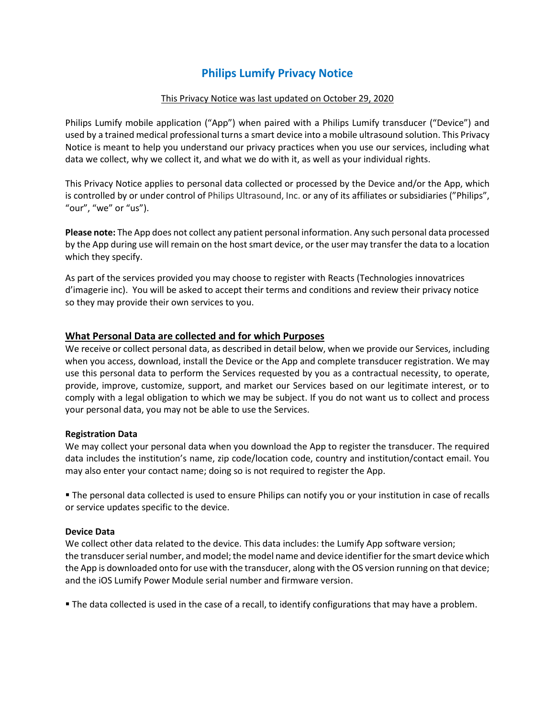# **Philips Lumify Privacy Notice**

## This Privacy Notice was last updated on October 29, 2020

Philips Lumify mobile application ("App") when paired with a Philips Lumify transducer ("Device") and used by a trained medical professional turns a smart device into a mobile ultrasound solution. This Privacy Notice is meant to help you understand our privacy practices when you use our services, including what data we collect, why we collect it, and what we do with it, as well as your individual rights.

This Privacy Notice applies to personal data collected or processed by the Device and/or the App, which is controlled by or under control of Philips Ultrasound, Inc. or any of its affiliates or subsidiaries ("Philips", "our", "we" or "us").

**Please note:** The App does not collect any patient personal information. Any such personal data processed by the App during use will remain on the host smart device, or the user may transfer the data to a location which they specify.

As part of the services provided you may choose to register with Reacts (Technologies innovatrices d'imagerie inc). You will be asked to accept their terms and conditions and review their privacy notice so they may provide their own services to you.

# **What Personal Data are collected and for which Purposes**

We receive or collect personal data, as described in detail below, when we provide our Services, including when you access, download, install the Device or the App and complete transducer registration. We may use this personal data to perform the Services requested by you as a contractual necessity, to operate, provide, improve, customize, support, and market our Services based on our legitimate interest, or to comply with a legal obligation to which we may be subject. If you do not want us to collect and process your personal data, you may not be able to use the Services.

## **Registration Data**

We may collect your personal data when you download the App to register the transducer. The required data includes the institution's name, zip code/location code, country and institution/contact email. You may also enter your contact name; doing so is not required to register the App.

 The personal data collected is used to ensure Philips can notify you or your institution in case of recalls or service updates specific to the device.

## **Device Data**

We collect other data related to the device. This data includes: the Lumify App software version; the transducer serial number, and model; the model name and device identifier for the smart device which the App is downloaded onto for use with the transducer, along with the OS version running on that device; and the iOS Lumify Power Module serial number and firmware version.

The data collected is used in the case of a recall, to identify configurations that may have a problem.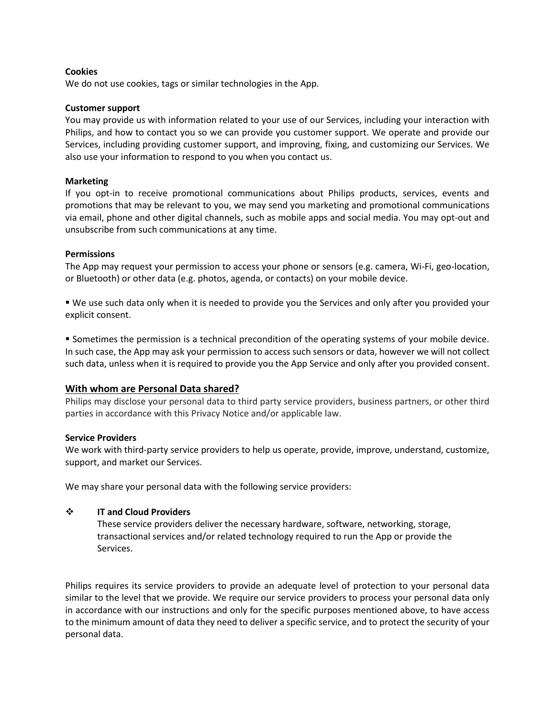#### **Cookies**

We do not use cookies, tags or similar technologies in the App.

#### **Customer support**

You may provide us with information related to your use of our Services, including your interaction with Philips, and how to contact you so we can provide you customer support. We operate and provide our Services, including providing customer support, and improving, fixing, and customizing our Services. We also use your information to respond to you when you contact us.

#### **Marketing**

If you opt-in to receive promotional communications about Philips products, services, events and promotions that may be relevant to you, we may send you marketing and promotional communications via email, phone and other digital channels, such as mobile apps and social media. You may opt-out and unsubscribe from such communications at any time.

## **Permissions**

The App may request your permission to access your phone or sensors (e.g. camera, Wi-Fi, geo-location, or Bluetooth) or other data (e.g. photos, agenda, or contacts) on your mobile device.

 We use such data only when it is needed to provide you the Services and only after you provided your explicit consent.

 Sometimes the permission is a technical precondition of the operating systems of your mobile device. In such case, the App may ask your permission to access such sensors or data, however we will not collect such data, unless when it is required to provide you the App Service and only after you provided consent.

## **With whom are Personal Data shared?**

Philips may disclose your personal data to third party service providers, business partners, or other third parties in accordance with this Privacy Notice and/or applicable law.

## **Service Providers**

We work with third-party service providers to help us operate, provide, improve, understand, customize, support, and market our Services.

We may share your personal data with the following service providers:

## **IT and Cloud Providers**

These service providers deliver the necessary hardware, software, networking, storage, transactional services and/or related technology required to run the App or provide the Services.

Philips requires its service providers to provide an adequate level of protection to your personal data similar to the level that we provide. We require our service providers to process your personal data only in accordance with our instructions and only for the specific purposes mentioned above, to have access to the minimum amount of data they need to deliver a specific service, and to protect the security of your personal data.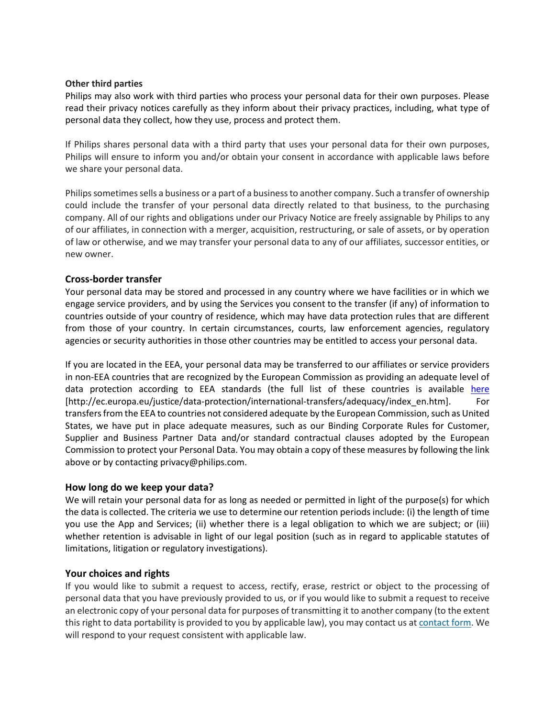#### **Other third parties**

Philips may also work with third parties who process your personal data for their own purposes. Please read their privacy notices carefully as they inform about their privacy practices, including, what type of personal data they collect, how they use, process and protect them.

If Philips shares personal data with a third party that uses your personal data for their own purposes, Philips will ensure to inform you and/or obtain your consent in accordance with applicable laws before we share your personal data.

Philips sometimes sells a business or a part of a business to another company. Such a transfer of ownership could include the transfer of your personal data directly related to that business, to the purchasing company. All of our rights and obligations under our Privacy Notice are freely assignable by Philips to any of our affiliates, in connection with a merger, acquisition, restructuring, or sale of assets, or by operation of law or otherwise, and we may transfer your personal data to any of our affiliates, successor entities, or new owner.

# **Cross-border transfer**

Your personal data may be stored and processed in any country where we have facilities or in which we engage service providers, and by using the Services you consent to the transfer (if any) of information to countries outside of your country of residence, which may have data protection rules that are different from those of your country. In certain circumstances, courts, law enforcement agencies, regulatory agencies or security authorities in those other countries may be entitled to access your personal data.

If you are located in the EEA, your personal data may be transferred to our affiliates or service providers in non-EEA countries that are recognized by the European Commission as providing an adequate level of data protection according to EEA standards (the full list of these countries is available [here](http://ec.europa.eu/justice/data-protection/international-transfers/adequacy/index_en.htm) [http://ec.europa.eu/justice/data-protection/international-transfers/adequacy/index\_en.htm]. For transfers from the EEA to countries not considered adequate by the European Commission, such as United States, we have put in place adequate measures, such as our [Binding Corporate Rules for Customer,](https://www.philips.com/c-dam/corporate/privacy/philips-privacy-rules-csb-data.pdf)  [Supplier and Business Partner Data](https://www.philips.com/c-dam/corporate/privacy/philips-privacy-rules-csb-data.pdf) and/or standard contractual clauses adopted by the European Commission to protect your Personal Data. You may obtain a copy of these measures by following the link above or by contactin[g privacy@philips.com.](mailto:privacy@philips.com)

## **How long do we keep your data?**

We will retain your personal data for as long as needed or permitted in light of the purpose(s) for which the data is collected. The criteria we use to determine our retention periods include: (i) the length of time you use the App and Services; (ii) whether there is a legal obligation to which we are subject; or (iii) whether retention is advisable in light of our legal position (such as in regard to applicable statutes of limitations, litigation or regulatory investigations).

# **Your choices and rights**

If you would like to submit a request to access, rectify, erase, restrict or object to the processing of personal data that you have previously provided to us, or if you would like to submit a request to receive an electronic copy of your personal data for purposes of transmitting it to another company (to the extent this right to data portability is provided to you by applicable law), you may [contact](https://www.philips.com/c-e/questions-and-feedback.html) us at contact form. We will respond to your request consistent with applicable law.